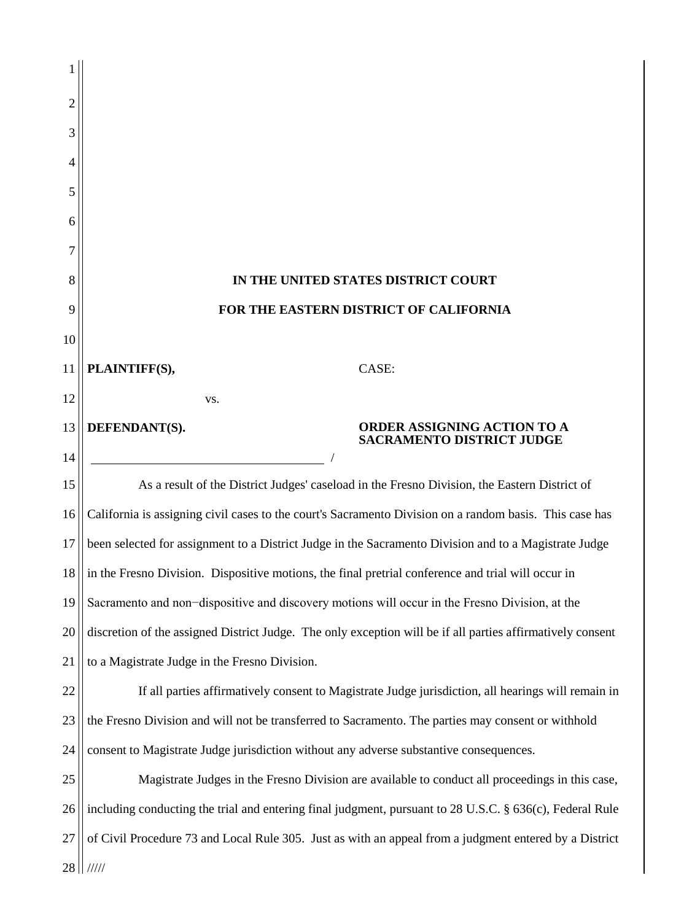| 2  |                                                                                                            |
|----|------------------------------------------------------------------------------------------------------------|
| 3  |                                                                                                            |
| 4  |                                                                                                            |
| 5  |                                                                                                            |
| 6  |                                                                                                            |
| 7  |                                                                                                            |
| 8  | IN THE UNITED STATES DISTRICT COURT                                                                        |
| 9  | FOR THE EASTERN DISTRICT OF CALIFORNIA                                                                     |
| 10 |                                                                                                            |
| 11 | PLAINTIFF(S),<br>CASE:                                                                                     |
| 12 | VS.                                                                                                        |
| 13 | DEFENDANT(S).<br>ORDER ASSIGNING ACTION TO A<br><b>SACRAMENTO DISTRICT JUDGE</b>                           |
| 14 |                                                                                                            |
| 15 | As a result of the District Judges' caseload in the Fresno Division, the Eastern District of               |
| 16 | California is assigning civil cases to the court's Sacramento Division on a random basis. This case has    |
| 17 | been selected for assignment to a District Judge in the Sacramento Division and to a Magistrate Judge      |
| 18 | in the Fresno Division. Dispositive motions, the final pretrial conference and trial will occur in         |
| 19 | Sacramento and non-dispositive and discovery motions will occur in the Fresno Division, at the             |
| 20 | discretion of the assigned District Judge. The only exception will be if all parties affirmatively consent |
| 21 | to a Magistrate Judge in the Fresno Division.                                                              |
| 22 | If all parties affirmatively consent to Magistrate Judge jurisdiction, all hearings will remain in         |
| 23 | the Fresno Division and will not be transferred to Sacramento. The parties may consent or withhold         |
| 24 | consent to Magistrate Judge jurisdiction without any adverse substantive consequences.                     |
| 25 | Magistrate Judges in the Fresno Division are available to conduct all proceedings in this case,            |
| 26 | including conducting the trial and entering final judgment, pursuant to 28 U.S.C. § 636(c), Federal Rule   |
| 27 | of Civil Procedure 73 and Local Rule 305. Just as with an appeal from a judgment entered by a District     |
|    | $28$   $\frac{\frac{1}{11}}{11}$                                                                           |